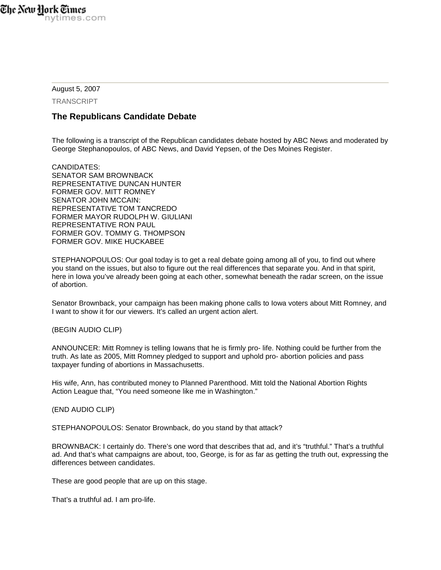August 5, 2007

TRANSCRIPT

# **The Republicans Candidate Debate**

The following is a transcript of the Republican candidates debate hosted by ABC News and moderated by George Stephanopoulos, of ABC News, and David Yepsen, of the Des Moines Register.

CANDIDATES: SENATOR SAM BROWNBACK REPRESENTATIVE DUNCAN HUNTER FORMER GOV. MITT ROMNEY SENATOR JOHN MCCAIN: REPRESENTATIVE TOM TANCREDO FORMER MAYOR RUDOLPH W. GIULIANI REPRESENTATIVE RON PAUL FORMER GOV. TOMMY G. THOMPSON FORMER GOV. MIKE HUCKABEE

STEPHANOPOULOS: Our goal today is to get a real debate going among all of you, to find out where you stand on the issues, but also to figure out the real differences that separate you. And in that spirit, here in Iowa you've already been going at each other, somewhat beneath the radar screen, on the issue of abortion.

Senator Brownback, your campaign has been making phone calls to Iowa voters about Mitt Romney, and I want to show it for our viewers. It's called an urgent action alert.

(BEGIN AUDIO CLIP)

ANNOUNCER: Mitt Romney is telling Iowans that he is firmly pro- life. Nothing could be further from the truth. As late as 2005, Mitt Romney pledged to support and uphold pro- abortion policies and pass taxpayer funding of abortions in Massachusetts.

His wife, Ann, has contributed money to Planned Parenthood. Mitt told the National Abortion Rights Action League that, "You need someone like me in Washington."

(END AUDIO CLIP)

STEPHANOPOULOS: Senator Brownback, do you stand by that attack?

BROWNBACK: I certainly do. There's one word that describes that ad, and it's "truthful." That's a truthful ad. And that's what campaigns are about, too, George, is for as far as getting the truth out, expressing the differences between candidates.

These are good people that are up on this stage.

That's a truthful ad. I am pro-life.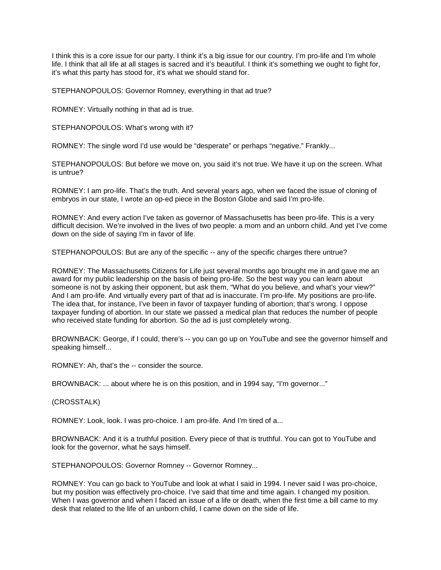I think this is a core issue for our party. I think it's a big issue for our country. I'm pro-life and I'm whole life. I think that all life at all stages is sacred and it's beautiful. I think it's something we ought to fight for, it's what this party has stood for, it's what we should stand for.

STEPHANOPOULOS: Governor Romney, everything in that ad true?

ROMNEY: Virtually nothing in that ad is true.

STEPHANOPOULOS: What's wrong with it?

ROMNEY: The single word I'd use would be "desperate" or perhaps "negative." Frankly...

STEPHANOPOULOS: But before we move on, you said it's not true. We have it up on the screen. What is untrue?

ROMNEY: I am pro-life. That's the truth. And several years ago, when we faced the issue of cloning of embryos in our state, I wrote an op-ed piece in the Boston Globe and said I'm pro-life.

ROMNEY: And every action I've taken as governor of Massachusetts has been pro-life. This is a very difficult decision. We're involved in the lives of two people: a mom and an unborn child. And yet I've come down on the side of saying I'm in favor of life.

STEPHANOPOULOS: But are any of the specific -- any of the specific charges there untrue?

ROMNEY: The Massachusetts Citizens for Life just several months ago brought me in and gave me an award for my public leadership on the basis of being pro-life. So the best way you can learn about someone is not by asking their opponent, but ask them, "What do you believe, and what's your view?" And I am pro-life. And virtually every part of that ad is inaccurate. I'm pro-life. My positions are pro-life. The idea that, for instance, I've been in favor of taxpayer funding of abortion; that's wrong. I oppose taxpayer funding of abortion. In our state we passed a medical plan that reduces the number of people who received state funding for abortion. So the ad is just completely wrong.

BROWNBACK: George, if I could, there's -- you can go up on YouTube and see the governor himself and speaking himself...

ROMNEY: Ah, that's the -- consider the source.

BROWNBACK: ... about where he is on this position, and in 1994 say, "I'm governor..."

(CROSSTALK)

ROMNEY: Look, look. I was pro-choice. I am pro-life. And I'm tired of a...

BROWNBACK: And it is a truthful position. Every piece of that is truthful. You can got to YouTube and look for the governor, what he says himself.

STEPHANOPOULOS: Governor Romney -- Governor Romney...

ROMNEY: You can go back to YouTube and look at what I said in 1994. I never said I was pro-choice, but my position was effectively pro-choice. I've said that time and time again. I changed my position. When I was governor and when I faced an issue of a life or death, when the first time a bill came to my desk that related to the life of an unborn child, I came down on the side of life.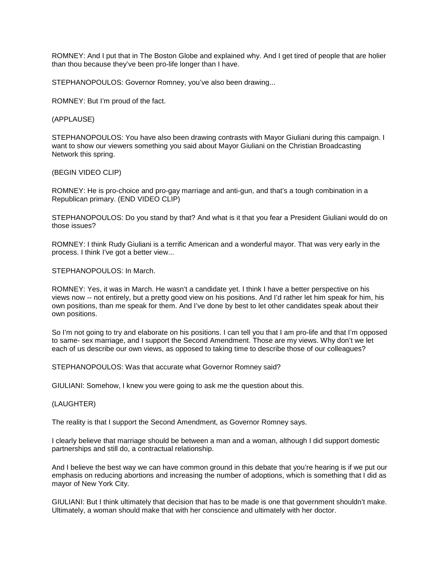ROMNEY: And I put that in The Boston Globe and explained why. And I get tired of people that are holier than thou because they've been pro-life longer than I have.

STEPHANOPOULOS: Governor Romney, you've also been drawing...

ROMNEY: But I'm proud of the fact.

(APPLAUSE)

STEPHANOPOULOS: You have also been drawing contrasts with Mayor Giuliani during this campaign. I want to show our viewers something you said about Mayor Giuliani on the Christian Broadcasting Network this spring.

(BEGIN VIDEO CLIP)

ROMNEY: He is pro-choice and pro-gay marriage and anti-gun, and that's a tough combination in a Republican primary. (END VIDEO CLIP)

STEPHANOPOULOS: Do you stand by that? And what is it that you fear a President Giuliani would do on those issues?

ROMNEY: I think Rudy Giuliani is a terrific American and a wonderful mayor. That was very early in the process. I think I've got a better view...

STEPHANOPOULOS: In March.

ROMNEY: Yes, it was in March. He wasn't a candidate yet. I think I have a better perspective on his views now -- not entirely, but a pretty good view on his positions. And I'd rather let him speak for him, his own positions, than me speak for them. And I've done by best to let other candidates speak about their own positions.

So I'm not going to try and elaborate on his positions. I can tell you that I am pro-life and that I'm opposed to same- sex marriage, and I support the Second Amendment. Those are my views. Why don't we let each of us describe our own views, as opposed to taking time to describe those of our colleagues?

STEPHANOPOULOS: Was that accurate what Governor Romney said?

GIULIANI: Somehow, I knew you were going to ask me the question about this.

(LAUGHTER)

The reality is that I support the Second Amendment, as Governor Romney says.

I clearly believe that marriage should be between a man and a woman, although I did support domestic partnerships and still do, a contractual relationship.

And I believe the best way we can have common ground in this debate that you're hearing is if we put our emphasis on reducing abortions and increasing the number of adoptions, which is something that I did as mayor of New York City.

GIULIANI: But I think ultimately that decision that has to be made is one that government shouldn't make. Ultimately, a woman should make that with her conscience and ultimately with her doctor.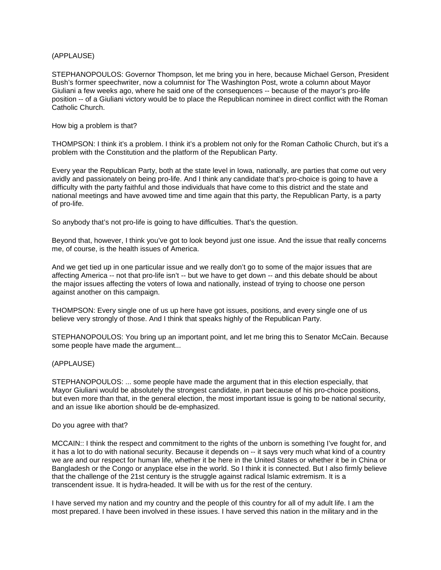#### (APPLAUSE)

STEPHANOPOULOS: Governor Thompson, let me bring you in here, because Michael Gerson, President Bush's former speechwriter, now a columnist for The Washington Post, wrote a column about Mayor Giuliani a few weeks ago, where he said one of the consequences -- because of the mayor's pro-life position -- of a Giuliani victory would be to place the Republican nominee in direct conflict with the Roman Catholic Church.

How big a problem is that?

THOMPSON: I think it's a problem. I think it's a problem not only for the Roman Catholic Church, but it's a problem with the Constitution and the platform of the Republican Party.

Every year the Republican Party, both at the state level in Iowa, nationally, are parties that come out very avidly and passionately on being pro-life. And I think any candidate that's pro-choice is going to have a difficulty with the party faithful and those individuals that have come to this district and the state and national meetings and have avowed time and time again that this party, the Republican Party, is a party of pro-life.

So anybody that's not pro-life is going to have difficulties. That's the question.

Beyond that, however, I think you've got to look beyond just one issue. And the issue that really concerns me, of course, is the health issues of America.

And we get tied up in one particular issue and we really don't go to some of the major issues that are affecting America -- not that pro-life isn't -- but we have to get down -- and this debate should be about the major issues affecting the voters of Iowa and nationally, instead of trying to choose one person against another on this campaign.

THOMPSON: Every single one of us up here have got issues, positions, and every single one of us believe very strongly of those. And I think that speaks highly of the Republican Party.

STEPHANOPOULOS: You bring up an important point, and let me bring this to Senator McCain. Because some people have made the argument...

#### (APPLAUSE)

STEPHANOPOULOS: ... some people have made the argument that in this election especially, that Mayor Giuliani would be absolutely the strongest candidate, in part because of his pro-choice positions, but even more than that, in the general election, the most important issue is going to be national security, and an issue like abortion should be de-emphasized.

#### Do you agree with that?

MCCAIN:: I think the respect and commitment to the rights of the unborn is something I've fought for, and it has a lot to do with national security. Because it depends on -- it says very much what kind of a country we are and our respect for human life, whether it be here in the United States or whether it be in China or Bangladesh or the Congo or anyplace else in the world. So I think it is connected. But I also firmly believe that the challenge of the 21st century is the struggle against radical Islamic extremism. It is a transcendent issue. It is hydra-headed. It will be with us for the rest of the century.

I have served my nation and my country and the people of this country for all of my adult life. I am the most prepared. I have been involved in these issues. I have served this nation in the military and in the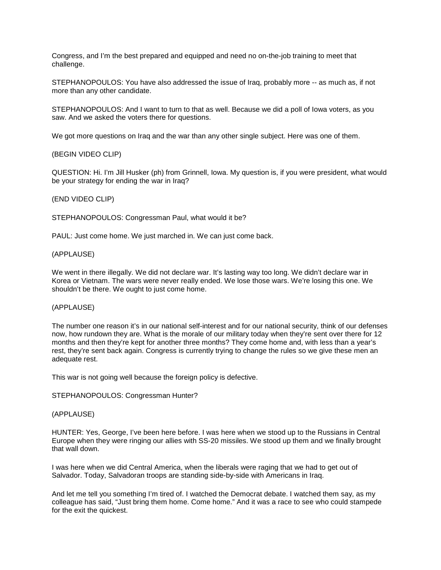Congress, and I'm the best prepared and equipped and need no on-the-job training to meet that challenge.

STEPHANOPOULOS: You have also addressed the issue of Iraq, probably more -- as much as, if not more than any other candidate.

STEPHANOPOULOS: And I want to turn to that as well. Because we did a poll of Iowa voters, as you saw. And we asked the voters there for questions.

We got more questions on Iraq and the war than any other single subject. Here was one of them.

(BEGIN VIDEO CLIP)

QUESTION: Hi. I'm Jill Husker (ph) from Grinnell, Iowa. My question is, if you were president, what would be your strategy for ending the war in Iraq?

#### (END VIDEO CLIP)

STEPHANOPOULOS: Congressman Paul, what would it be?

PAUL: Just come home. We just marched in. We can just come back.

(APPLAUSE)

We went in there illegally. We did not declare war. It's lasting way too long. We didn't declare war in Korea or Vietnam. The wars were never really ended. We lose those wars. We're losing this one. We shouldn't be there. We ought to just come home.

#### (APPLAUSE)

The number one reason it's in our national self-interest and for our national security, think of our defenses now, how rundown they are. What is the morale of our military today when they're sent over there for 12 months and then they're kept for another three months? They come home and, with less than a year's rest, they're sent back again. Congress is currently trying to change the rules so we give these men an adequate rest.

This war is not going well because the foreign policy is defective.

STEPHANOPOULOS: Congressman Hunter?

#### (APPLAUSE)

HUNTER: Yes, George, I've been here before. I was here when we stood up to the Russians in Central Europe when they were ringing our allies with SS-20 missiles. We stood up them and we finally brought that wall down.

I was here when we did Central America, when the liberals were raging that we had to get out of Salvador. Today, Salvadoran troops are standing side-by-side with Americans in Iraq.

And let me tell you something I'm tired of. I watched the Democrat debate. I watched them say, as my colleague has said, "Just bring them home. Come home." And it was a race to see who could stampede for the exit the quickest.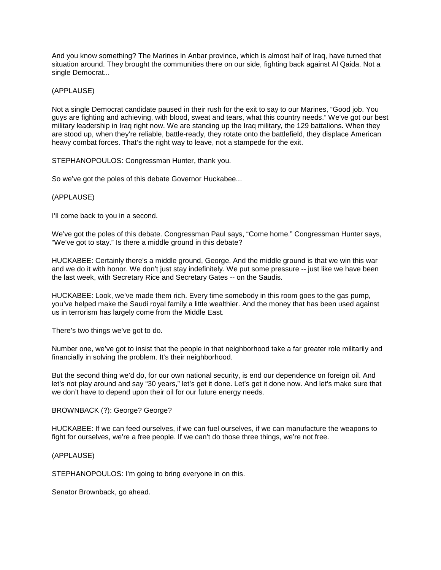And you know something? The Marines in Anbar province, which is almost half of Iraq, have turned that situation around. They brought the communities there on our side, fighting back against Al Qaida. Not a single Democrat...

### (APPLAUSE)

Not a single Democrat candidate paused in their rush for the exit to say to our Marines, "Good job. You guys are fighting and achieving, with blood, sweat and tears, what this country needs." We've got our best military leadership in Iraq right now. We are standing up the Iraq military, the 129 battalions. When they are stood up, when they're reliable, battle-ready, they rotate onto the battlefield, they displace American heavy combat forces. That's the right way to leave, not a stampede for the exit.

STEPHANOPOULOS: Congressman Hunter, thank you.

So we've got the poles of this debate Governor Huckabee...

#### (APPLAUSE)

I'll come back to you in a second.

We've got the poles of this debate. Congressman Paul says, "Come home." Congressman Hunter says, "We've got to stay." Is there a middle ground in this debate?

HUCKABEE: Certainly there's a middle ground, George. And the middle ground is that we win this war and we do it with honor. We don't just stay indefinitely. We put some pressure -- just like we have been the last week, with Secretary Rice and Secretary Gates -- on the Saudis.

HUCKABEE: Look, we've made them rich. Every time somebody in this room goes to the gas pump, you've helped make the Saudi royal family a little wealthier. And the money that has been used against us in terrorism has largely come from the Middle East.

There's two things we've got to do.

Number one, we've got to insist that the people in that neighborhood take a far greater role militarily and financially in solving the problem. It's their neighborhood.

But the second thing we'd do, for our own national security, is end our dependence on foreign oil. And let's not play around and say "30 years," let's get it done. Let's get it done now. And let's make sure that we don't have to depend upon their oil for our future energy needs.

#### BROWNBACK (?): George? George?

HUCKABEE: If we can feed ourselves, if we can fuel ourselves, if we can manufacture the weapons to fight for ourselves, we're a free people. If we can't do those three things, we're not free.

### (APPLAUSE)

STEPHANOPOULOS: I'm going to bring everyone in on this.

Senator Brownback, go ahead.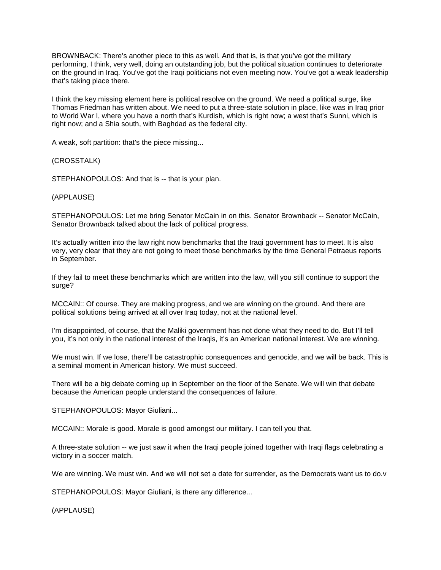BROWNBACK: There's another piece to this as well. And that is, is that you've got the military performing, I think, very well, doing an outstanding job, but the political situation continues to deteriorate on the ground in Iraq. You've got the Iraqi politicians not even meeting now. You've got a weak leadership that's taking place there.

I think the key missing element here is political resolve on the ground. We need a political surge, like Thomas Friedman has written about. We need to put a three-state solution in place, like was in Iraq prior to World War I, where you have a north that's Kurdish, which is right now; a west that's Sunni, which is right now; and a Shia south, with Baghdad as the federal city.

A weak, soft partition: that's the piece missing...

(CROSSTALK)

STEPHANOPOULOS: And that is -- that is your plan.

(APPLAUSE)

STEPHANOPOULOS: Let me bring Senator McCain in on this. Senator Brownback -- Senator McCain, Senator Brownback talked about the lack of political progress.

It's actually written into the law right now benchmarks that the Iraqi government has to meet. It is also very, very clear that they are not going to meet those benchmarks by the time General Petraeus reports in September.

If they fail to meet these benchmarks which are written into the law, will you still continue to support the surge?

MCCAIN:: Of course. They are making progress, and we are winning on the ground. And there are political solutions being arrived at all over Iraq today, not at the national level.

I'm disappointed, of course, that the Maliki government has not done what they need to do. But I'll tell you, it's not only in the national interest of the Iraqis, it's an American national interest. We are winning.

We must win. If we lose, there'll be catastrophic consequences and genocide, and we will be back. This is a seminal moment in American history. We must succeed.

There will be a big debate coming up in September on the floor of the Senate. We will win that debate because the American people understand the consequences of failure.

STEPHANOPOULOS: Mayor Giuliani...

MCCAIN:: Morale is good. Morale is good amongst our military. I can tell you that.

A three-state solution -- we just saw it when the Iraqi people joined together with Iraqi flags celebrating a victory in a soccer match.

We are winning. We must win. And we will not set a date for surrender, as the Democrats want us to do.v

STEPHANOPOULOS: Mayor Giuliani, is there any difference...

(APPLAUSE)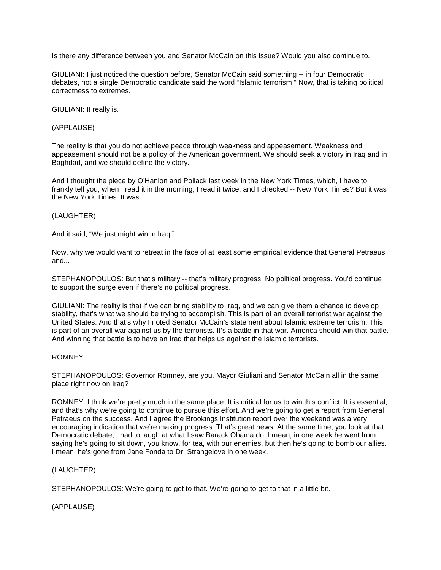Is there any difference between you and Senator McCain on this issue? Would you also continue to...

GIULIANI: I just noticed the question before, Senator McCain said something -- in four Democratic debates, not a single Democratic candidate said the word "Islamic terrorism." Now, that is taking political correctness to extremes.

GIULIANI: It really is.

## (APPLAUSE)

The reality is that you do not achieve peace through weakness and appeasement. Weakness and appeasement should not be a policy of the American government. We should seek a victory in Iraq and in Baghdad, and we should define the victory.

And I thought the piece by O'Hanlon and Pollack last week in the New York Times, which, I have to frankly tell you, when I read it in the morning, I read it twice, and I checked -- New York Times? But it was the New York Times. It was.

# (LAUGHTER)

And it said, "We just might win in Iraq."

Now, why we would want to retreat in the face of at least some empirical evidence that General Petraeus and...

STEPHANOPOULOS: But that's military -- that's military progress. No political progress. You'd continue to support the surge even if there's no political progress.

GIULIANI: The reality is that if we can bring stability to Iraq, and we can give them a chance to develop stability, that's what we should be trying to accomplish. This is part of an overall terrorist war against the United States. And that's why I noted Senator McCain's statement about Islamic extreme terrorism. This is part of an overall war against us by the terrorists. It's a battle in that war. America should win that battle. And winning that battle is to have an Iraq that helps us against the Islamic terrorists.

### ROMNEY

STEPHANOPOULOS: Governor Romney, are you, Mayor Giuliani and Senator McCain all in the same place right now on Iraq?

ROMNEY: I think we're pretty much in the same place. It is critical for us to win this conflict. It is essential, and that's why we're going to continue to pursue this effort. And we're going to get a report from General Petraeus on the success. And I agree the Brookings Institution report over the weekend was a very encouraging indication that we're making progress. That's great news. At the same time, you look at that Democratic debate, I had to laugh at what I saw Barack Obama do. I mean, in one week he went from saying he's going to sit down, you know, for tea, with our enemies, but then he's going to bomb our allies. I mean, he's gone from Jane Fonda to Dr. Strangelove in one week.

### (LAUGHTER)

STEPHANOPOULOS: We're going to get to that. We're going to get to that in a little bit.

(APPLAUSE)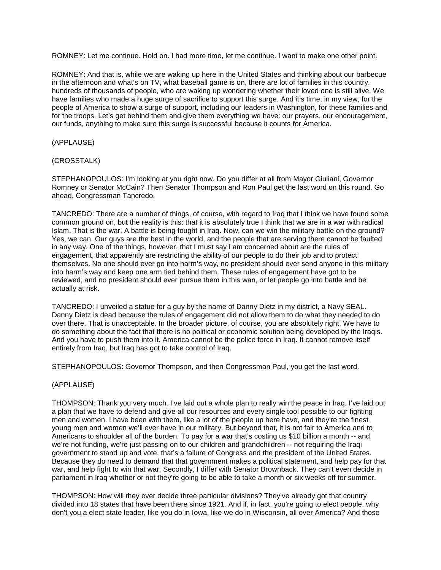ROMNEY: Let me continue. Hold on. I had more time, let me continue. I want to make one other point.

ROMNEY: And that is, while we are waking up here in the United States and thinking about our barbecue in the afternoon and what's on TV, what baseball game is on, there are lot of families in this country, hundreds of thousands of people, who are waking up wondering whether their loved one is still alive. We have families who made a huge surge of sacrifice to support this surge. And it's time, in my view, for the people of America to show a surge of support, including our leaders in Washington, for these families and for the troops. Let's get behind them and give them everything we have: our prayers, our encouragement, our funds, anything to make sure this surge is successful because it counts for America.

(APPLAUSE)

(CROSSTALK)

STEPHANOPOULOS: I'm looking at you right now. Do you differ at all from Mayor Giuliani, Governor Romney or Senator McCain? Then Senator Thompson and Ron Paul get the last word on this round. Go ahead, Congressman Tancredo.

TANCREDO: There are a number of things, of course, with regard to Iraq that I think we have found some common ground on, but the reality is this: that it is absolutely true I think that we are in a war with radical Islam. That is the war. A battle is being fought in Iraq. Now, can we win the military battle on the ground? Yes, we can. Our guys are the best in the world, and the people that are serving there cannot be faulted in any way. One of the things, however, that I must say I am concerned about are the rules of engagement, that apparently are restricting the ability of our people to do their job and to protect themselves. No one should ever go into harm's way, no president should ever send anyone in this military into harm's way and keep one arm tied behind them. These rules of engagement have got to be reviewed, and no president should ever pursue them in this wan, or let people go into battle and be actually at risk.

TANCREDO: I unveiled a statue for a guy by the name of Danny Dietz in my district, a Navy SEAL. Danny Dietz is dead because the rules of engagement did not allow them to do what they needed to do over there. That is unacceptable. In the broader picture, of course, you are absolutely right. We have to do something about the fact that there is no political or economic solution being developed by the Iraqis. And you have to push them into it. America cannot be the police force in Iraq. It cannot remove itself entirely from Iraq, but Iraq has got to take control of Iraq.

STEPHANOPOULOS: Governor Thompson, and then Congressman Paul, you get the last word.

### (APPLAUSE)

THOMPSON: Thank you very much. I've laid out a whole plan to really win the peace in Iraq. I've laid out a plan that we have to defend and give all our resources and every single tool possible to our fighting men and women. I have been with them, like a lot of the people up here have, and they're the finest young men and women we'll ever have in our military. But beyond that, it is not fair to America and to Americans to shoulder all of the burden. To pay for a war that's costing us \$10 billion a month -- and we're not funding, we're just passing on to our children and grandchildren -- not requiring the Iraqi government to stand up and vote, that's a failure of Congress and the president of the United States. Because they do need to demand that that government makes a political statement, and help pay for that war, and help fight to win that war. Secondly, I differ with Senator Brownback. They can't even decide in parliament in Iraq whether or not they're going to be able to take a month or six weeks off for summer.

THOMPSON: How will they ever decide three particular divisions? They've already got that country divided into 18 states that have been there since 1921. And if, in fact, you're going to elect people, why don't you a elect state leader, like you do in Iowa, like we do in Wisconsin, all over America? And those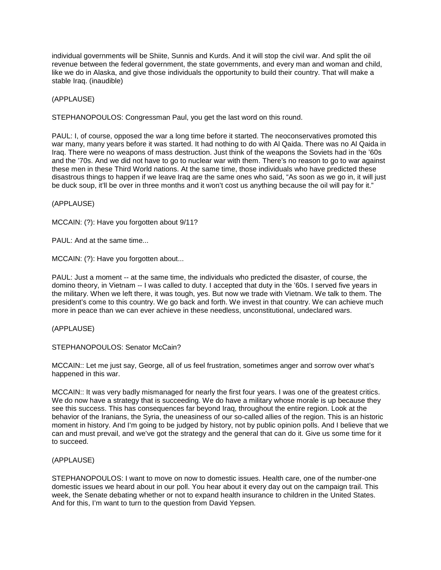individual governments will be Shiite, Sunnis and Kurds. And it will stop the civil war. And split the oil revenue between the federal government, the state governments, and every man and woman and child, like we do in Alaska, and give those individuals the opportunity to build their country. That will make a stable Iraq. (inaudible)

# (APPLAUSE)

STEPHANOPOULOS: Congressman Paul, you get the last word on this round.

PAUL: I, of course, opposed the war a long time before it started. The neoconservatives promoted this war many, many years before it was started. It had nothing to do with Al Qaida. There was no Al Qaida in Iraq. There were no weapons of mass destruction. Just think of the weapons the Soviets had in the '60s and the '70s. And we did not have to go to nuclear war with them. There's no reason to go to war against these men in these Third World nations. At the same time, those individuals who have predicted these disastrous things to happen if we leave Iraq are the same ones who said, "As soon as we go in, it will just be duck soup, it'll be over in three months and it won't cost us anything because the oil will pay for it."

(APPLAUSE)

MCCAIN: (?): Have you forgotten about 9/11?

PAUL: And at the same time...

MCCAIN: (?): Have you forgotten about...

PAUL: Just a moment -- at the same time, the individuals who predicted the disaster, of course, the domino theory, in Vietnam -- I was called to duty. I accepted that duty in the '60s. I served five years in the military. When we left there, it was tough, yes. But now we trade with Vietnam. We talk to them. The president's come to this country. We go back and forth. We invest in that country. We can achieve much more in peace than we can ever achieve in these needless, unconstitutional, undeclared wars.

(APPLAUSE)

STEPHANOPOULOS: Senator McCain?

MCCAIN:: Let me just say, George, all of us feel frustration, sometimes anger and sorrow over what's happened in this war.

MCCAIN:: It was very badly mismanaged for nearly the first four years. I was one of the greatest critics. We do now have a strategy that is succeeding. We do have a military whose morale is up because they see this success. This has consequences far beyond Iraq, throughout the entire region. Look at the behavior of the Iranians, the Syria, the uneasiness of our so-called allies of the region. This is an historic moment in history. And I'm going to be judged by history, not by public opinion polls. And I believe that we can and must prevail, and we've got the strategy and the general that can do it. Give us some time for it to succeed.

(APPLAUSE)

STEPHANOPOULOS: I want to move on now to domestic issues. Health care, one of the number-one domestic issues we heard about in our poll. You hear about it every day out on the campaign trail. This week, the Senate debating whether or not to expand health insurance to children in the United States. And for this, I'm want to turn to the question from David Yepsen.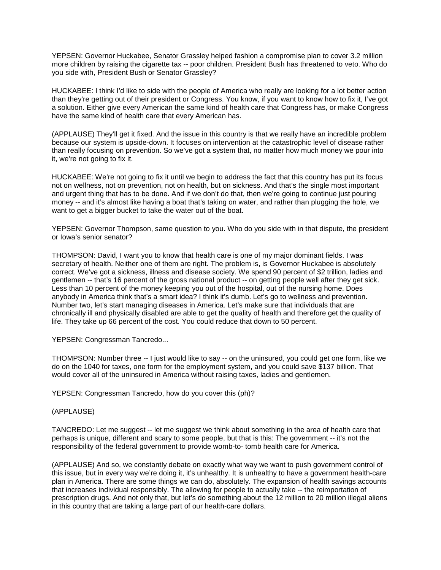YEPSEN: Governor Huckabee, Senator Grassley helped fashion a compromise plan to cover 3.2 million more children by raising the cigarette tax -- poor children. President Bush has threatened to veto. Who do you side with, President Bush or Senator Grassley?

HUCKABEE: I think I'd like to side with the people of America who really are looking for a lot better action than they're getting out of their president or Congress. You know, if you want to know how to fix it, I've got a solution. Either give every American the same kind of health care that Congress has, or make Congress have the same kind of health care that every American has.

(APPLAUSE) They'll get it fixed. And the issue in this country is that we really have an incredible problem because our system is upside-down. It focuses on intervention at the catastrophic level of disease rather than really focusing on prevention. So we've got a system that, no matter how much money we pour into it, we're not going to fix it.

HUCKABEE: We're not going to fix it until we begin to address the fact that this country has put its focus not on wellness, not on prevention, not on health, but on sickness. And that's the single most important and urgent thing that has to be done. And if we don't do that, then we're going to continue just pouring money -- and it's almost like having a boat that's taking on water, and rather than plugging the hole, we want to get a bigger bucket to take the water out of the boat.

YEPSEN: Governor Thompson, same question to you. Who do you side with in that dispute, the president or Iowa's senior senator?

THOMPSON: David, I want you to know that health care is one of my major dominant fields. I was secretary of health. Neither one of them are right. The problem is, is Governor Huckabee is absolutely correct. We've got a sickness, illness and disease society. We spend 90 percent of \$2 trillion, ladies and gentlemen -- that's 16 percent of the gross national product -- on getting people well after they get sick. Less than 10 percent of the money keeping you out of the hospital, out of the nursing home. Does anybody in America think that's a smart idea? I think it's dumb. Let's go to wellness and prevention. Number two, let's start managing diseases in America. Let's make sure that individuals that are chronically ill and physically disabled are able to get the quality of health and therefore get the quality of life. They take up 66 percent of the cost. You could reduce that down to 50 percent.

YEPSEN: Congressman Tancredo...

THOMPSON: Number three -- I just would like to say -- on the uninsured, you could get one form, like we do on the 1040 for taxes, one form for the employment system, and you could save \$137 billion. That would cover all of the uninsured in America without raising taxes, ladies and gentlemen.

YEPSEN: Congressman Tancredo, how do you cover this (ph)?

# (APPLAUSE)

TANCREDO: Let me suggest -- let me suggest we think about something in the area of health care that perhaps is unique, different and scary to some people, but that is this: The government -- it's not the responsibility of the federal government to provide womb-to- tomb health care for America.

(APPLAUSE) And so, we constantly debate on exactly what way we want to push government control of this issue, but in every way we're doing it, it's unhealthy. It is unhealthy to have a government health-care plan in America. There are some things we can do, absolutely. The expansion of health savings accounts that increases individual responsibly. The allowing for people to actually take -- the reimportation of prescription drugs. And not only that, but let's do something about the 12 million to 20 million illegal aliens in this country that are taking a large part of our health-care dollars.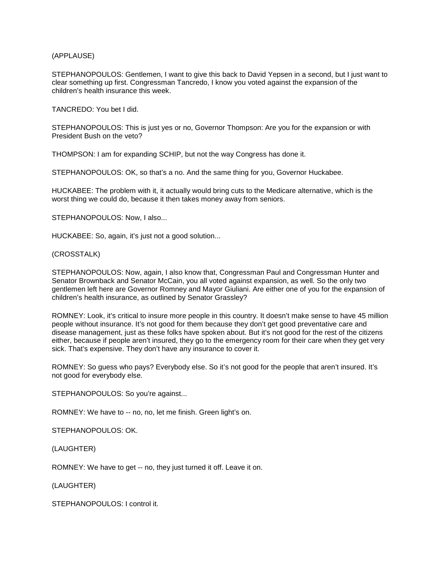### (APPLAUSE)

STEPHANOPOULOS: Gentlemen, I want to give this back to David Yepsen in a second, but I just want to clear something up first. Congressman Tancredo, I know you voted against the expansion of the children's health insurance this week.

TANCREDO: You bet I did.

STEPHANOPOULOS: This is just yes or no, Governor Thompson: Are you for the expansion or with President Bush on the veto?

THOMPSON: I am for expanding SCHIP, but not the way Congress has done it.

STEPHANOPOULOS: OK, so that's a no. And the same thing for you, Governor Huckabee.

HUCKABEE: The problem with it, it actually would bring cuts to the Medicare alternative, which is the worst thing we could do, because it then takes money away from seniors.

STEPHANOPOULOS: Now, I also...

HUCKABEE: So, again, it's just not a good solution...

(CROSSTALK)

STEPHANOPOULOS: Now, again, I also know that, Congressman Paul and Congressman Hunter and Senator Brownback and Senator McCain, you all voted against expansion, as well. So the only two gentlemen left here are Governor Romney and Mayor Giuliani. Are either one of you for the expansion of children's health insurance, as outlined by Senator Grassley?

ROMNEY: Look, it's critical to insure more people in this country. It doesn't make sense to have 45 million people without insurance. It's not good for them because they don't get good preventative care and disease management, just as these folks have spoken about. But it's not good for the rest of the citizens either, because if people aren't insured, they go to the emergency room for their care when they get very sick. That's expensive. They don't have any insurance to cover it.

ROMNEY: So guess who pays? Everybody else. So it's not good for the people that aren't insured. It's not good for everybody else.

STEPHANOPOULOS: So you're against...

ROMNEY: We have to -- no, no, let me finish. Green light's on.

STEPHANOPOULOS: OK.

(LAUGHTER)

ROMNEY: We have to get -- no, they just turned it off. Leave it on.

(LAUGHTER)

STEPHANOPOULOS: I control it.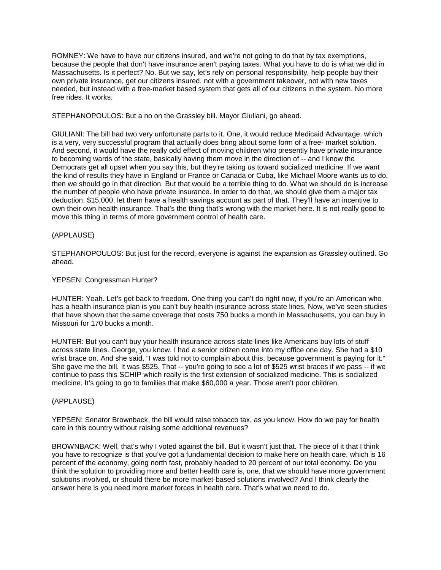ROMNEY: We have to have our citizens insured, and we're not going to do that by tax exemptions, because the people that don't have insurance aren't paying taxes. What you have to do is what we did in Massachusetts. Is it perfect? No. But we say, let's rely on personal responsibility, help people buy their own private insurance, get our citizens insured, not with a government takeover, not with new taxes needed, but instead with a free-market based system that gets all of our citizens in the system. No more free rides. It works.

STEPHANOPOULOS: But a no on the Grassley bill. Mayor Giuliani, go ahead.

GIULIANI: The bill had two very unfortunate parts to it. One, it would reduce Medicaid Advantage, which is a very, very successful program that actually does bring about some form of a free- market solution. And second, it would have the really odd effect of moving children who presently have private insurance to becoming wards of the state, basically having them move in the direction of -- and I know the Democrats get all upset when you say this, but they're taking us toward socialized medicine. If we want the kind of results they have in England or France or Canada or Cuba, like Michael Moore wants us to do, then we should go in that direction. But that would be a terrible thing to do. What we should do is increase the number of people who have private insurance. In order to do that, we should give them a major tax deduction, \$15,000, let them have a health savings account as part of that. They'll have an incentive to own their own health insurance. That's the thing that's wrong with the market here. It is not really good to move this thing in terms of more government control of health care.

### (APPLAUSE)

STEPHANOPOULOS: But just for the record, everyone is against the expansion as Grassley outlined. Go ahead.

### YEPSEN: Congressman Hunter?

HUNTER: Yeah. Let's get back to freedom. One thing you can't do right now, if you're an American who has a health insurance plan is you can't buy health insurance across state lines. Now, we've seen studies that have shown that the same coverage that costs 750 bucks a month in Massachusetts, you can buy in Missouri for 170 bucks a month.

HUNTER: But you can't buy your health insurance across state lines like Americans buy lots of stuff across state lines. George, you know, I had a senior citizen come into my office one day. She had a \$10 wrist brace on. And she said, "I was told not to complain about this, because government is paying for it." She gave me the bill. It was \$525. That -- you're going to see a lot of \$525 wrist braces if we pass -- if we continue to pass this SCHIP which really is the first extension of socialized medicine. This is socialized medicine. It's going to go to families that make \$60,000 a year. Those aren't poor children.

### (APPLAUSE)

YEPSEN: Senator Brownback, the bill would raise tobacco tax, as you know. How do we pay for health care in this country without raising some additional revenues?

BROWNBACK: Well, that's why I voted against the bill. But it wasn't just that. The piece of it that I think you have to recognize is that you've got a fundamental decision to make here on health care, which is 16 percent of the economy, going north fast, probably headed to 20 percent of our total economy. Do you think the solution to providing more and better health care is, one, that we should have more government solutions involved, or should there be more market-based solutions involved? And I think clearly the answer here is you need more market forces in health care. That's what we need to do.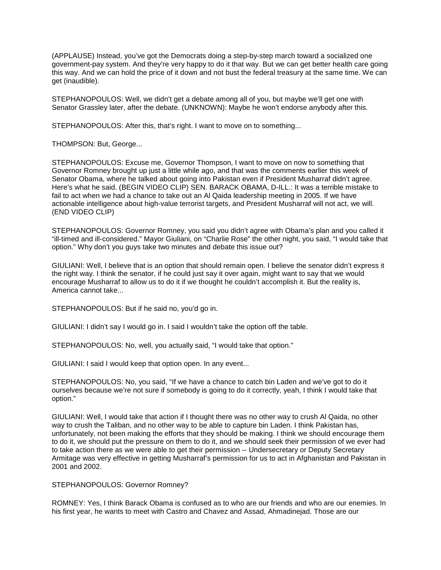(APPLAUSE) Instead, you've got the Democrats doing a step-by-step march toward a socialized one government-pay system. And they're very happy to do it that way. But we can get better health care going this way. And we can hold the price of it down and not bust the federal treasury at the same time. We can get (inaudible).

STEPHANOPOULOS: Well, we didn't get a debate among all of you, but maybe we'll get one with Senator Grassley later, after the debate. (UNKNOWN): Maybe he won't endorse anybody after this.

STEPHANOPOULOS: After this, that's right. I want to move on to something...

THOMPSON: But, George...

STEPHANOPOULOS: Excuse me, Governor Thompson, I want to move on now to something that Governor Romney brought up just a little while ago, and that was the comments earlier this week of Senator Obama, where he talked about going into Pakistan even if President Musharraf didn't agree. Here's what he said. (BEGIN VIDEO CLIP) SEN. BARACK OBAMA, D-ILL.: It was a terrible mistake to fail to act when we had a chance to take out an Al Qaida leadership meeting in 2005. If we have actionable intelligence about high-value terrorist targets, and President Musharraf will not act, we will. (END VIDEO CLIP)

STEPHANOPOULOS: Governor Romney, you said you didn't agree with Obama's plan and you called it "ill-timed and ill-considered." Mayor Giuliani, on "Charlie Rose" the other night, you said, "I would take that option." Why don't you guys take two minutes and debate this issue out?

GIULIANI: Well, I believe that is an option that should remain open. I believe the senator didn't express it the right way. I think the senator, if he could just say it over again, might want to say that we would encourage Musharraf to allow us to do it if we thought he couldn't accomplish it. But the reality is, America cannot take...

STEPHANOPOULOS: But if he said no, you'd go in.

GIULIANI: I didn't say I would go in. I said I wouldn't take the option off the table.

STEPHANOPOULOS: No, well, you actually said, "I would take that option."

GIULIANI: I said I would keep that option open. In any event...

STEPHANOPOULOS: No, you said, "If we have a chance to catch bin Laden and we've got to do it ourselves because we're not sure if somebody is going to do it correctly, yeah, I think I would take that option."

GIULIANI: Well, I would take that action if I thought there was no other way to crush Al Qaida, no other way to crush the Taliban, and no other way to be able to capture bin Laden. I think Pakistan has, unfortunately, not been making the efforts that they should be making. I think we should encourage them to do it, we should put the pressure on them to do it, and we should seek their permission of we ever had to take action there as we were able to get their permission -- Undersecretary or Deputy Secretary Armitage was very effective in getting Musharraf's permission for us to act in Afghanistan and Pakistan in 2001 and 2002.

STEPHANOPOULOS: Governor Romney?

ROMNEY: Yes, I think Barack Obama is confused as to who are our friends and who are our enemies. In his first year, he wants to meet with Castro and Chavez and Assad, Ahmadinejad. Those are our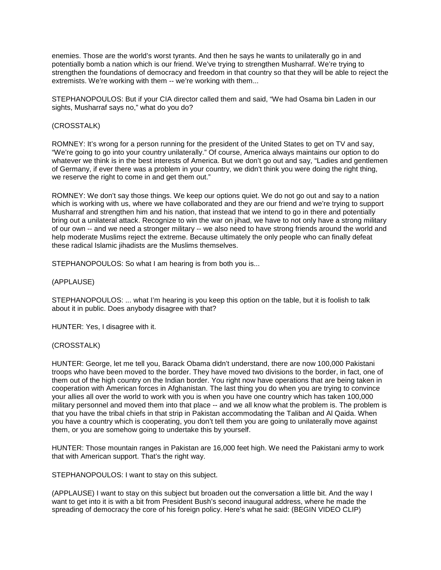enemies. Those are the world's worst tyrants. And then he says he wants to unilaterally go in and potentially bomb a nation which is our friend. We've trying to strengthen Musharraf. We're trying to strengthen the foundations of democracy and freedom in that country so that they will be able to reject the extremists. We're working with them -- we're working with them...

STEPHANOPOULOS: But if your CIA director called them and said, "We had Osama bin Laden in our sights, Musharraf says no," what do you do?

### (CROSSTALK)

ROMNEY: It's wrong for a person running for the president of the United States to get on TV and say, "We're going to go into your country unilaterally." Of course, America always maintains our option to do whatever we think is in the best interests of America. But we don't go out and say, "Ladies and gentlemen of Germany, if ever there was a problem in your country, we didn't think you were doing the right thing, we reserve the right to come in and get them out."

ROMNEY: We don't say those things. We keep our options quiet. We do not go out and say to a nation which is working with us, where we have collaborated and they are our friend and we're trying to support Musharraf and strengthen him and his nation, that instead that we intend to go in there and potentially bring out a unilateral attack. Recognize to win the war on jihad, we have to not only have a strong military of our own -- and we need a stronger military -- we also need to have strong friends around the world and help moderate Muslims reject the extreme. Because ultimately the only people who can finally defeat these radical Islamic jihadists are the Muslims themselves.

STEPHANOPOULOS: So what I am hearing is from both you is...

#### (APPLAUSE)

STEPHANOPOULOS: ... what I'm hearing is you keep this option on the table, but it is foolish to talk about it in public. Does anybody disagree with that?

HUNTER: Yes, I disagree with it.

### (CROSSTALK)

HUNTER: George, let me tell you, Barack Obama didn't understand, there are now 100,000 Pakistani troops who have been moved to the border. They have moved two divisions to the border, in fact, one of them out of the high country on the Indian border. You right now have operations that are being taken in cooperation with American forces in Afghanistan. The last thing you do when you are trying to convince your allies all over the world to work with you is when you have one country which has taken 100,000 military personnel and moved them into that place -- and we all know what the problem is. The problem is that you have the tribal chiefs in that strip in Pakistan accommodating the Taliban and Al Qaida. When you have a country which is cooperating, you don't tell them you are going to unilaterally move against them, or you are somehow going to undertake this by yourself.

HUNTER: Those mountain ranges in Pakistan are 16,000 feet high. We need the Pakistani army to work that with American support. That's the right way.

STEPHANOPOULOS: I want to stay on this subject.

(APPLAUSE) I want to stay on this subject but broaden out the conversation a little bit. And the way I want to get into it is with a bit from President Bush's second inaugural address, where he made the spreading of democracy the core of his foreign policy. Here's what he said: (BEGIN VIDEO CLIP)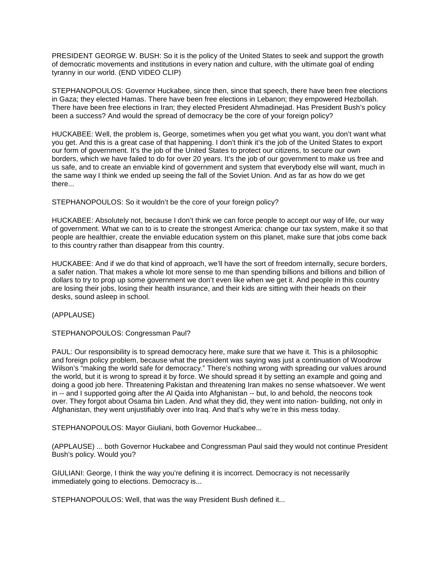PRESIDENT GEORGE W. BUSH: So it is the policy of the United States to seek and support the growth of democratic movements and institutions in every nation and culture, with the ultimate goal of ending tyranny in our world. (END VIDEO CLIP)

STEPHANOPOULOS: Governor Huckabee, since then, since that speech, there have been free elections in Gaza; they elected Hamas. There have been free elections in Lebanon; they empowered Hezbollah. There have been free elections in Iran; they elected President Ahmadinejad. Has President Bush's policy been a success? And would the spread of democracy be the core of your foreign policy?

HUCKABEE: Well, the problem is, George, sometimes when you get what you want, you don't want what you get. And this is a great case of that happening. I don't think it's the job of the United States to export our form of government. It's the job of the United States to protect our citizens, to secure our own borders, which we have failed to do for over 20 years. It's the job of our government to make us free and us safe, and to create an enviable kind of government and system that everybody else will want, much in the same way I think we ended up seeing the fall of the Soviet Union. And as far as how do we get there...

STEPHANOPOULOS: So it wouldn't be the core of your foreign policy?

HUCKABEE: Absolutely not, because I don't think we can force people to accept our way of life, our way of government. What we can to is to create the strongest America: change our tax system, make it so that people are healthier, create the enviable education system on this planet, make sure that jobs come back to this country rather than disappear from this country.

HUCKABEE: And if we do that kind of approach, we'll have the sort of freedom internally, secure borders, a safer nation. That makes a whole lot more sense to me than spending billions and billions and billion of dollars to try to prop up some government we don't even like when we get it. And people in this country are losing their jobs, losing their health insurance, and their kids are sitting with their heads on their desks, sound asleep in school.

(APPLAUSE)

STEPHANOPOULOS: Congressman Paul?

PAUL: Our responsibility is to spread democracy here, make sure that we have it. This is a philosophic and foreign policy problem, because what the president was saying was just a continuation of Woodrow Wilson's "making the world safe for democracy." There's nothing wrong with spreading our values around the world, but it is wrong to spread it by force. We should spread it by setting an example and going and doing a good job here. Threatening Pakistan and threatening Iran makes no sense whatsoever. We went in -- and I supported going after the Al Qaida into Afghanistan -- but, lo and behold, the neocons took over. They forgot about Osama bin Laden. And what they did, they went into nation- building, not only in Afghanistan, they went unjustifiably over into Iraq. And that's why we're in this mess today.

STEPHANOPOULOS: Mayor Giuliani, both Governor Huckabee...

(APPLAUSE) ... both Governor Huckabee and Congressman Paul said they would not continue President Bush's policy. Would you?

GIULIANI: George, I think the way you're defining it is incorrect. Democracy is not necessarily immediately going to elections. Democracy is...

STEPHANOPOULOS: Well, that was the way President Bush defined it...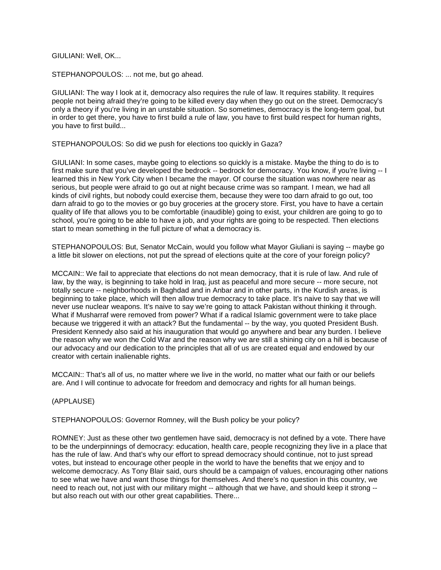GIULIANI: Well, OK...

STEPHANOPOULOS: ... not me, but go ahead.

GIULIANI: The way I look at it, democracy also requires the rule of law. It requires stability. It requires people not being afraid they're going to be killed every day when they go out on the street. Democracy's only a theory if you're living in an unstable situation. So sometimes, democracy is the long-term goal, but in order to get there, you have to first build a rule of law, you have to first build respect for human rights, you have to first build...

STEPHANOPOULOS: So did we push for elections too quickly in Gaza?

GIULIANI: In some cases, maybe going to elections so quickly is a mistake. Maybe the thing to do is to first make sure that you've developed the bedrock -- bedrock for democracy. You know, if you're living -- I learned this in New York City when I became the mayor. Of course the situation was nowhere near as serious, but people were afraid to go out at night because crime was so rampant. I mean, we had all kinds of civil rights, but nobody could exercise them, because they were too darn afraid to go out, too darn afraid to go to the movies or go buy groceries at the grocery store. First, you have to have a certain quality of life that allows you to be comfortable (inaudible) going to exist, your children are going to go to school, you're going to be able to have a job, and your rights are going to be respected. Then elections start to mean something in the full picture of what a democracy is.

STEPHANOPOULOS: But, Senator McCain, would you follow what Mayor Giuliani is saying -- maybe go a little bit slower on elections, not put the spread of elections quite at the core of your foreign policy?

MCCAIN:: We fail to appreciate that elections do not mean democracy, that it is rule of law. And rule of law, by the way, is beginning to take hold in Iraq, just as peaceful and more secure -- more secure, not totally secure -- neighborhoods in Baghdad and in Anbar and in other parts, in the Kurdish areas, is beginning to take place, which will then allow true democracy to take place. It's naive to say that we will never use nuclear weapons. It's naive to say we're going to attack Pakistan without thinking it through. What if Musharraf were removed from power? What if a radical Islamic government were to take place because we triggered it with an attack? But the fundamental -- by the way, you quoted President Bush. President Kennedy also said at his inauguration that would go anywhere and bear any burden. I believe the reason why we won the Cold War and the reason why we are still a shining city on a hill is because of our advocacy and our dedication to the principles that all of us are created equal and endowed by our creator with certain inalienable rights.

MCCAIN:: That's all of us, no matter where we live in the world, no matter what our faith or our beliefs are. And I will continue to advocate for freedom and democracy and rights for all human beings.

(APPLAUSE)

STEPHANOPOULOS: Governor Romney, will the Bush policy be your policy?

ROMNEY: Just as these other two gentlemen have said, democracy is not defined by a vote. There have to be the underpinnings of democracy: education, health care, people recognizing they live in a place that has the rule of law. And that's why our effort to spread democracy should continue, not to just spread votes, but instead to encourage other people in the world to have the benefits that we enjoy and to welcome democracy. As Tony Blair said, ours should be a campaign of values, encouraging other nations to see what we have and want those things for themselves. And there's no question in this country, we need to reach out, not just with our military might -- although that we have, and should keep it strong - but also reach out with our other great capabilities. There...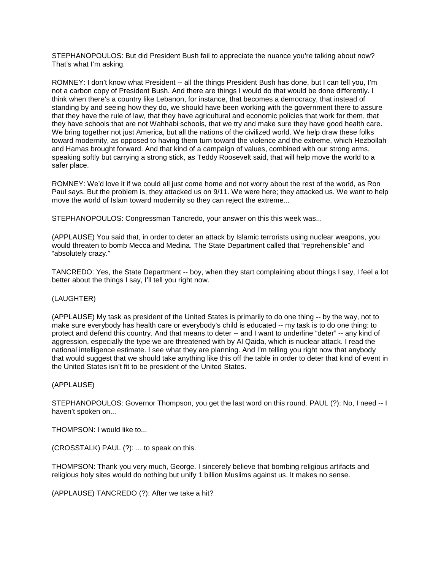STEPHANOPOULOS: But did President Bush fail to appreciate the nuance you're talking about now? That's what I'm asking.

ROMNEY: I don't know what President -- all the things President Bush has done, but I can tell you, I'm not a carbon copy of President Bush. And there are things I would do that would be done differently. I think when there's a country like Lebanon, for instance, that becomes a democracy, that instead of standing by and seeing how they do, we should have been working with the government there to assure that they have the rule of law, that they have agricultural and economic policies that work for them, that they have schools that are not Wahhabi schools, that we try and make sure they have good health care. We bring together not just America, but all the nations of the civilized world. We help draw these folks toward modernity, as opposed to having them turn toward the violence and the extreme, which Hezbollah and Hamas brought forward. And that kind of a campaign of values, combined with our strong arms, speaking softly but carrying a strong stick, as Teddy Roosevelt said, that will help move the world to a safer place.

ROMNEY: We'd love it if we could all just come home and not worry about the rest of the world, as Ron Paul says. But the problem is, they attacked us on 9/11. We were here; they attacked us. We want to help move the world of Islam toward modernity so they can reject the extreme...

STEPHANOPOULOS: Congressman Tancredo, your answer on this this week was...

(APPLAUSE) You said that, in order to deter an attack by Islamic terrorists using nuclear weapons, you would threaten to bomb Mecca and Medina. The State Department called that "reprehensible" and "absolutely crazy."

TANCREDO: Yes, the State Department -- boy, when they start complaining about things I say, I feel a lot better about the things I say, I'll tell you right now.

### (LAUGHTER)

(APPLAUSE) My task as president of the United States is primarily to do one thing -- by the way, not to make sure everybody has health care or everybody's child is educated -- my task is to do one thing: to protect and defend this country. And that means to deter -- and I want to underline "deter" -- any kind of aggression, especially the type we are threatened with by Al Qaida, which is nuclear attack. I read the national intelligence estimate. I see what they are planning. And I'm telling you right now that anybody that would suggest that we should take anything like this off the table in order to deter that kind of event in the United States isn't fit to be president of the United States.

### (APPLAUSE)

STEPHANOPOULOS: Governor Thompson, you get the last word on this round. PAUL (?): No, I need -- I haven't spoken on...

THOMPSON: I would like to...

(CROSSTALK) PAUL (?): ... to speak on this.

THOMPSON: Thank you very much, George. I sincerely believe that bombing religious artifacts and religious holy sites would do nothing but unify 1 billion Muslims against us. It makes no sense.

(APPLAUSE) TANCREDO (?): After we take a hit?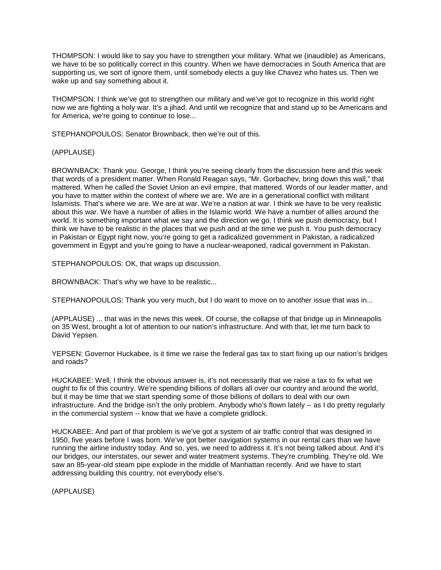THOMPSON: I would like to say you have to strengthen your military. What we (inaudible) as Americans, we have to be so politically correct in this country. When we have democracies in South America that are supporting us, we sort of ignore them, until somebody elects a guy like Chavez who hates us. Then we wake up and say something about it.

THOMPSON: I think we've got to strengthen our military and we've got to recognize in this world right now we are fighting a holy war. It's a jihad. And until we recognize that and stand up to be Americans and for America, we're going to continue to lose...

STEPHANOPOULOS: Senator Brownback, then we're out of this.

(APPLAUSE)

BROWNBACK: Thank you. George, I think you're seeing clearly from the discussion here and this week that words of a president matter. When Ronald Reagan says, "Mr. Gorbachev, bring down this wall," that mattered. When he called the Soviet Union an evil empire, that mattered. Words of our leader matter, and you have to matter within the context of where we are. We are in a generational conflict with militant Islamists. That's where we are. We are at war. We're a nation at war. I think we have to be very realistic about this war. We have a number of allies in the Islamic world. We have a number of allies around the world. It is something important what we say and the direction we go. I think we push democracy, but I think we have to be realistic in the places that we push and at the time we push it. You push democracy in Pakistan or Egypt right now, you're going to get a radicalized government in Pakistan, a radicalized government in Egypt and you're going to have a nuclear-weaponed, radical government in Pakistan.

STEPHANOPOULOS: OK, that wraps up discussion.

BROWNBACK: That's why we have to be realistic...

STEPHANOPOULOS: Thank you very much, but I do want to move on to another issue that was in...

(APPLAUSE) ... that was in the news this week. Of course, the collapse of that bridge up in Minneapolis on 35 West, brought a lot of attention to our nation's infrastructure. And with that, let me turn back to David Yepsen.

YEPSEN: Governor Huckabee, is it time we raise the federal gas tax to start fixing up our nation's bridges and roads?

HUCKABEE: Well, I think the obvious answer is, it's not necessarily that we raise a tax to fix what we ought to fix of this country. We're spending billions of dollars all over our country and around the world, but it may be time that we start spending some of those billions of dollars to deal with our own infrastructure. And the bridge isn't the only problem. Anybody who's flown lately -- as I do pretty regularly in the commercial system -- know that we have a complete gridlock.

HUCKABEE: And part of that problem is we've got a system of air traffic control that was designed in 1950, five years before I was born. We've got better navigation systems in our rental cars than we have running the airline industry today. And so, yes, we need to address it. It's not being talked about. And it's our bridges, our interstates, our sewer and water treatment systems. They're crumbling. They're old. We saw an 85-year-old steam pipe explode in the middle of Manhattan recently. And we have to start addressing building this country, not everybody else's.

(APPLAUSE)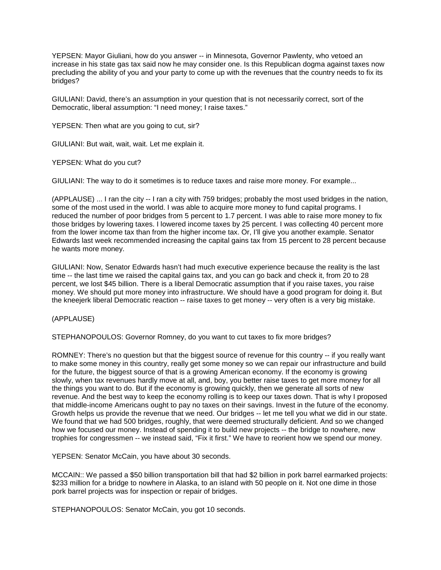YEPSEN: Mayor Giuliani, how do you answer -- in Minnesota, Governor Pawlenty, who vetoed an increase in his state gas tax said now he may consider one. Is this Republican dogma against taxes now precluding the ability of you and your party to come up with the revenues that the country needs to fix its bridges?

GIULIANI: David, there's an assumption in your question that is not necessarily correct, sort of the Democratic, liberal assumption: "I need money; I raise taxes."

YEPSEN: Then what are you going to cut, sir?

GIULIANI: But wait, wait, wait. Let me explain it.

YEPSEN: What do you cut?

GIULIANI: The way to do it sometimes is to reduce taxes and raise more money. For example...

(APPLAUSE) ... I ran the city -- I ran a city with 759 bridges; probably the most used bridges in the nation, some of the most used in the world. I was able to acquire more money to fund capital programs. I reduced the number of poor bridges from 5 percent to 1.7 percent. I was able to raise more money to fix those bridges by lowering taxes. I lowered income taxes by 25 percent. I was collecting 40 percent more from the lower income tax than from the higher income tax. Or, I'll give you another example. Senator Edwards last week recommended increasing the capital gains tax from 15 percent to 28 percent because he wants more money.

GIULIANI: Now, Senator Edwards hasn't had much executive experience because the reality is the last time -- the last time we raised the capital gains tax, and you can go back and check it, from 20 to 28 percent, we lost \$45 billion. There is a liberal Democratic assumption that if you raise taxes, you raise money. We should put more money into infrastructure. We should have a good program for doing it. But the kneejerk liberal Democratic reaction -- raise taxes to get money -- very often is a very big mistake.

(APPLAUSE)

STEPHANOPOULOS: Governor Romney, do you want to cut taxes to fix more bridges?

ROMNEY: There's no question but that the biggest source of revenue for this country -- if you really want to make some money in this country, really get some money so we can repair our infrastructure and build for the future, the biggest source of that is a growing American economy. If the economy is growing slowly, when tax revenues hardly move at all, and, boy, you better raise taxes to get more money for all the things you want to do. But if the economy is growing quickly, then we generate all sorts of new revenue. And the best way to keep the economy rolling is to keep our taxes down. That is why I proposed that middle-income Americans ought to pay no taxes on their savings. Invest in the future of the economy. Growth helps us provide the revenue that we need. Our bridges -- let me tell you what we did in our state. We found that we had 500 bridges, roughly, that were deemed structurally deficient. And so we changed how we focused our money. Instead of spending it to build new projects -- the bridge to nowhere, new trophies for congressmen -- we instead said, "Fix it first." We have to reorient how we spend our money.

YEPSEN: Senator McCain, you have about 30 seconds.

MCCAIN:: We passed a \$50 billion transportation bill that had \$2 billion in pork barrel earmarked projects: \$233 million for a bridge to nowhere in Alaska, to an island with 50 people on it. Not one dime in those pork barrel projects was for inspection or repair of bridges.

STEPHANOPOULOS: Senator McCain, you got 10 seconds.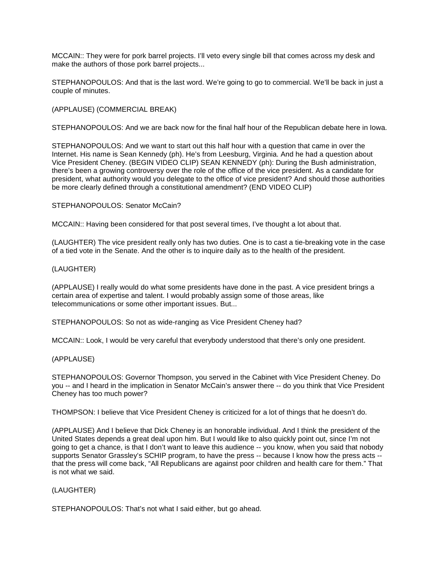MCCAIN:: They were for pork barrel projects. I'll veto every single bill that comes across my desk and make the authors of those pork barrel projects...

STEPHANOPOULOS: And that is the last word. We're going to go to commercial. We'll be back in just a couple of minutes.

## (APPLAUSE) (COMMERCIAL BREAK)

STEPHANOPOULOS: And we are back now for the final half hour of the Republican debate here in Iowa.

STEPHANOPOULOS: And we want to start out this half hour with a question that came in over the Internet. His name is Sean Kennedy (ph). He's from Leesburg, Virginia. And he had a question about Vice President Cheney. (BEGIN VIDEO CLIP) SEAN KENNEDY (ph): During the Bush administration, there's been a growing controversy over the role of the office of the vice president. As a candidate for president, what authority would you delegate to the office of vice president? And should those authorities be more clearly defined through a constitutional amendment? (END VIDEO CLIP)

## STEPHANOPOULOS: Senator McCain?

MCCAIN:: Having been considered for that post several times, I've thought a lot about that.

(LAUGHTER) The vice president really only has two duties. One is to cast a tie-breaking vote in the case of a tied vote in the Senate. And the other is to inquire daily as to the health of the president.

### (LAUGHTER)

(APPLAUSE) I really would do what some presidents have done in the past. A vice president brings a certain area of expertise and talent. I would probably assign some of those areas, like telecommunications or some other important issues. But...

STEPHANOPOULOS: So not as wide-ranging as Vice President Cheney had?

MCCAIN:: Look, I would be very careful that everybody understood that there's only one president.

#### (APPLAUSE)

STEPHANOPOULOS: Governor Thompson, you served in the Cabinet with Vice President Cheney. Do you -- and I heard in the implication in Senator McCain's answer there -- do you think that Vice President Cheney has too much power?

THOMPSON: I believe that Vice President Cheney is criticized for a lot of things that he doesn't do.

(APPLAUSE) And I believe that Dick Cheney is an honorable individual. And I think the president of the United States depends a great deal upon him. But I would like to also quickly point out, since I'm not going to get a chance, is that I don't want to leave this audience -- you know, when you said that nobody supports Senator Grassley's SCHIP program, to have the press -- because I know how the press acts -that the press will come back, "All Republicans are against poor children and health care for them." That is not what we said.

### (LAUGHTER)

STEPHANOPOULOS: That's not what I said either, but go ahead.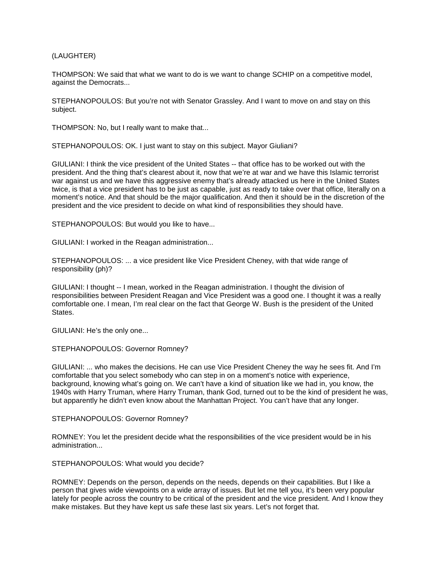# (LAUGHTER)

THOMPSON: We said that what we want to do is we want to change SCHIP on a competitive model, against the Democrats...

STEPHANOPOULOS: But you're not with Senator Grassley. And I want to move on and stay on this subject.

THOMPSON: No, but I really want to make that...

STEPHANOPOULOS: OK. I just want to stay on this subject. Mayor Giuliani?

GIULIANI: I think the vice president of the United States -- that office has to be worked out with the president. And the thing that's clearest about it, now that we're at war and we have this Islamic terrorist war against us and we have this aggressive enemy that's already attacked us here in the United States twice, is that a vice president has to be just as capable, just as ready to take over that office, literally on a moment's notice. And that should be the major qualification. And then it should be in the discretion of the president and the vice president to decide on what kind of responsibilities they should have.

STEPHANOPOULOS: But would you like to have...

GIULIANI: I worked in the Reagan administration...

STEPHANOPOULOS: ... a vice president like Vice President Cheney, with that wide range of responsibility (ph)?

GIULIANI: I thought -- I mean, worked in the Reagan administration. I thought the division of responsibilities between President Reagan and Vice President was a good one. I thought it was a really comfortable one. I mean, I'm real clear on the fact that George W. Bush is the president of the United States.

GIULIANI: He's the only one...

STEPHANOPOULOS: Governor Romney?

GIULIANI: ... who makes the decisions. He can use Vice President Cheney the way he sees fit. And I'm comfortable that you select somebody who can step in on a moment's notice with experience, background, knowing what's going on. We can't have a kind of situation like we had in, you know, the 1940s with Harry Truman, where Harry Truman, thank God, turned out to be the kind of president he was, but apparently he didn't even know about the Manhattan Project. You can't have that any longer.

STEPHANOPOULOS: Governor Romney?

ROMNEY: You let the president decide what the responsibilities of the vice president would be in his administration...

STEPHANOPOULOS: What would you decide?

ROMNEY: Depends on the person, depends on the needs, depends on their capabilities. But I like a person that gives wide viewpoints on a wide array of issues. But let me tell you, it's been very popular lately for people across the country to be critical of the president and the vice president. And I know they make mistakes. But they have kept us safe these last six years. Let's not forget that.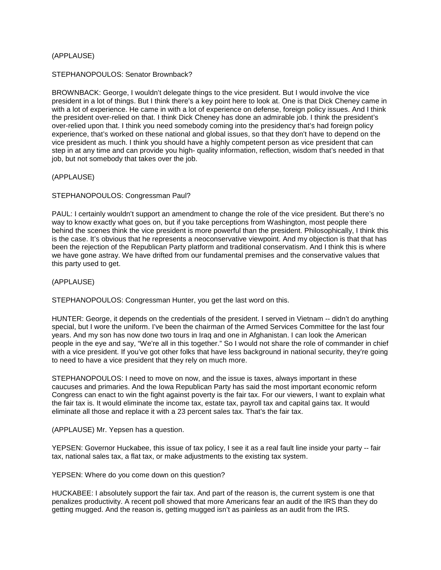## (APPLAUSE)

### STEPHANOPOULOS: Senator Brownback?

BROWNBACK: George, I wouldn't delegate things to the vice president. But I would involve the vice president in a lot of things. But I think there's a key point here to look at. One is that Dick Cheney came in with a lot of experience. He came in with a lot of experience on defense, foreign policy issues. And I think the president over-relied on that. I think Dick Cheney has done an admirable job. I think the president's over-relied upon that. I think you need somebody coming into the presidency that's had foreign policy experience, that's worked on these national and global issues, so that they don't have to depend on the vice president as much. I think you should have a highly competent person as vice president that can step in at any time and can provide you high- quality information, reflection, wisdom that's needed in that job, but not somebody that takes over the job.

(APPLAUSE)

STEPHANOPOULOS: Congressman Paul?

PAUL: I certainly wouldn't support an amendment to change the role of the vice president. But there's no way to know exactly what goes on, but if you take perceptions from Washington, most people there behind the scenes think the vice president is more powerful than the president. Philosophically, I think this is the case. It's obvious that he represents a neoconservative viewpoint. And my objection is that that has been the rejection of the Republican Party platform and traditional conservatism. And I think this is where we have gone astray. We have drifted from our fundamental premises and the conservative values that this party used to get.

(APPLAUSE)

STEPHANOPOULOS: Congressman Hunter, you get the last word on this.

HUNTER: George, it depends on the credentials of the president. I served in Vietnam -- didn't do anything special, but I wore the uniform. I've been the chairman of the Armed Services Committee for the last four years. And my son has now done two tours in Iraq and one in Afghanistan. I can look the American people in the eye and say, "We're all in this together." So I would not share the role of commander in chief with a vice president. If you've got other folks that have less background in national security, they're going to need to have a vice president that they rely on much more.

STEPHANOPOULOS: I need to move on now, and the issue is taxes, always important in these caucuses and primaries. And the Iowa Republican Party has said the most important economic reform Congress can enact to win the fight against poverty is the fair tax. For our viewers, I want to explain what the fair tax is. It would eliminate the income tax, estate tax, payroll tax and capital gains tax. It would eliminate all those and replace it with a 23 percent sales tax. That's the fair tax.

(APPLAUSE) Mr. Yepsen has a question.

YEPSEN: Governor Huckabee, this issue of tax policy, I see it as a real fault line inside your party -- fair tax, national sales tax, a flat tax, or make adjustments to the existing tax system.

YEPSEN: Where do you come down on this question?

HUCKABEE: I absolutely support the fair tax. And part of the reason is, the current system is one that penalizes productivity. A recent poll showed that more Americans fear an audit of the IRS than they do getting mugged. And the reason is, getting mugged isn't as painless as an audit from the IRS.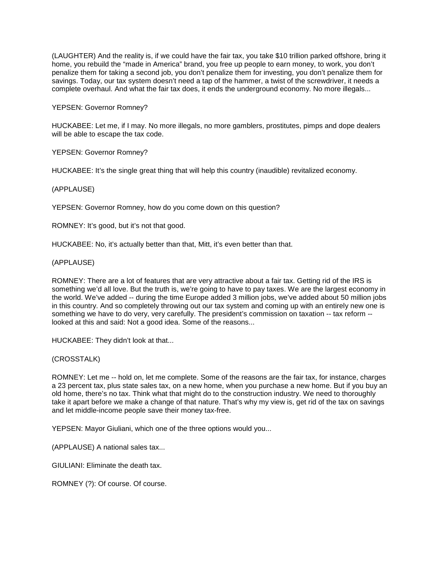(LAUGHTER) And the reality is, if we could have the fair tax, you take \$10 trillion parked offshore, bring it home, you rebuild the "made in America" brand, you free up people to earn money, to work, you don't penalize them for taking a second job, you don't penalize them for investing, you don't penalize them for savings. Today, our tax system doesn't need a tap of the hammer, a twist of the screwdriver, it needs a complete overhaul. And what the fair tax does, it ends the underground economy. No more illegals...

YEPSEN: Governor Romney?

HUCKABEE: Let me, if I may. No more illegals, no more gamblers, prostitutes, pimps and dope dealers will be able to escape the tax code.

YEPSEN: Governor Romney?

HUCKABEE: It's the single great thing that will help this country (inaudible) revitalized economy.

### (APPLAUSE)

YEPSEN: Governor Romney, how do you come down on this question?

ROMNEY: It's good, but it's not that good.

HUCKABEE: No, it's actually better than that, Mitt, it's even better than that.

### (APPLAUSE)

ROMNEY: There are a lot of features that are very attractive about a fair tax. Getting rid of the IRS is something we'd all love. But the truth is, we're going to have to pay taxes. We are the largest economy in the world. We've added -- during the time Europe added 3 million jobs, we've added about 50 million jobs in this country. And so completely throwing out our tax system and coming up with an entirely new one is something we have to do very, very carefully. The president's commission on taxation -- tax reform - looked at this and said: Not a good idea. Some of the reasons...

HUCKABEE: They didn't look at that...

### (CROSSTALK)

ROMNEY: Let me -- hold on, let me complete. Some of the reasons are the fair tax, for instance, charges a 23 percent tax, plus state sales tax, on a new home, when you purchase a new home. But if you buy an old home, there's no tax. Think what that might do to the construction industry. We need to thoroughly take it apart before we make a change of that nature. That's why my view is, get rid of the tax on savings and let middle-income people save their money tax-free.

YEPSEN: Mayor Giuliani, which one of the three options would you...

(APPLAUSE) A national sales tax...

GIULIANI: Eliminate the death tax.

ROMNEY (?): Of course. Of course.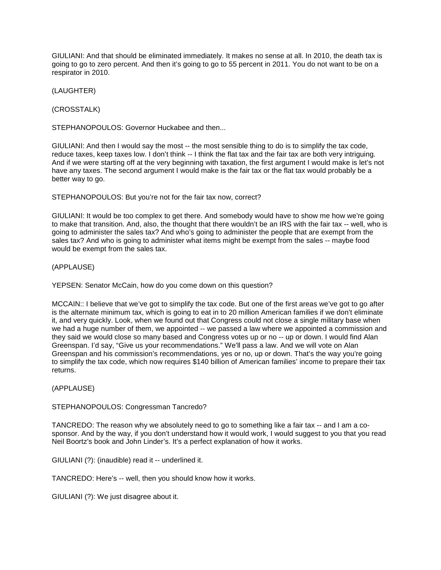GIULIANI: And that should be eliminated immediately. It makes no sense at all. In 2010, the death tax is going to go to zero percent. And then it's going to go to 55 percent in 2011. You do not want to be on a respirator in 2010.

(LAUGHTER)

(CROSSTALK)

STEPHANOPOULOS: Governor Huckabee and then...

GIULIANI: And then I would say the most -- the most sensible thing to do is to simplify the tax code, reduce taxes, keep taxes low. I don't think -- I think the flat tax and the fair tax are both very intriguing. And if we were starting off at the very beginning with taxation, the first argument I would make is let's not have any taxes. The second argument I would make is the fair tax or the flat tax would probably be a better way to go.

STEPHANOPOULOS: But you're not for the fair tax now, correct?

GIULIANI: It would be too complex to get there. And somebody would have to show me how we're going to make that transition. And, also, the thought that there wouldn't be an IRS with the fair tax -- well, who is going to administer the sales tax? And who's going to administer the people that are exempt from the sales tax? And who is going to administer what items might be exempt from the sales -- maybe food would be exempt from the sales tax.

(APPLAUSE)

YEPSEN: Senator McCain, how do you come down on this question?

MCCAIN:: I believe that we've got to simplify the tax code. But one of the first areas we've got to go after is the alternate minimum tax, which is going to eat in to 20 million American families if we don't eliminate it, and very quickly. Look, when we found out that Congress could not close a single military base when we had a huge number of them, we appointed -- we passed a law where we appointed a commission and they said we would close so many based and Congress votes up or no -- up or down. I would find Alan Greenspan. I'd say, "Give us your recommendations." We'll pass a law. And we will vote on Alan Greenspan and his commission's recommendations, yes or no, up or down. That's the way you're going to simplify the tax code, which now requires \$140 billion of American families' income to prepare their tax returns.

(APPLAUSE)

STEPHANOPOULOS: Congressman Tancredo?

TANCREDO: The reason why we absolutely need to go to something like a fair tax -- and I am a cosponsor. And by the way, if you don't understand how it would work, I would suggest to you that you read Neil Boortz's book and John Linder's. It's a perfect explanation of how it works.

GIULIANI (?): (inaudible) read it -- underlined it.

TANCREDO: Here's -- well, then you should know how it works.

GIULIANI (?): We just disagree about it.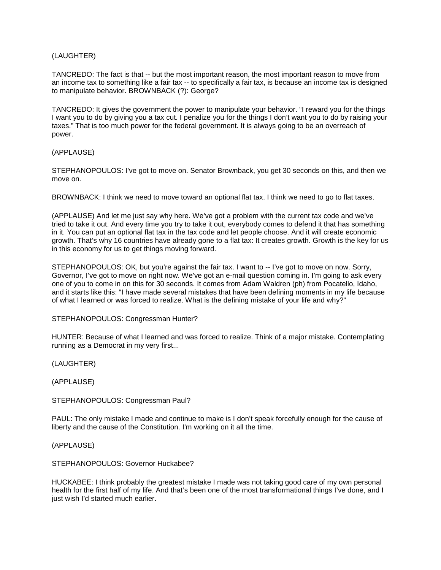# (LAUGHTER)

TANCREDO: The fact is that -- but the most important reason, the most important reason to move from an income tax to something like a fair tax -- to specifically a fair tax, is because an income tax is designed to manipulate behavior. BROWNBACK (?): George?

TANCREDO: It gives the government the power to manipulate your behavior. "I reward you for the things I want you to do by giving you a tax cut. I penalize you for the things I don't want you to do by raising your taxes." That is too much power for the federal government. It is always going to be an overreach of power.

(APPLAUSE)

STEPHANOPOULOS: I've got to move on. Senator Brownback, you get 30 seconds on this, and then we move on.

BROWNBACK: I think we need to move toward an optional flat tax. I think we need to go to flat taxes.

(APPLAUSE) And let me just say why here. We've got a problem with the current tax code and we've tried to take it out. And every time you try to take it out, everybody comes to defend it that has something in it. You can put an optional flat tax in the tax code and let people choose. And it will create economic growth. That's why 16 countries have already gone to a flat tax: It creates growth. Growth is the key for us in this economy for us to get things moving forward.

STEPHANOPOULOS: OK, but you're against the fair tax. I want to -- I've got to move on now. Sorry, Governor, I've got to move on right now. We've got an e-mail question coming in. I'm going to ask every one of you to come in on this for 30 seconds. It comes from Adam Waldren (ph) from Pocatello, Idaho, and it starts like this: "I have made several mistakes that have been defining moments in my life because of what I learned or was forced to realize. What is the defining mistake of your life and why?"

STEPHANOPOULOS: Congressman Hunter?

HUNTER: Because of what I learned and was forced to realize. Think of a major mistake. Contemplating running as a Democrat in my very first...

(LAUGHTER)

(APPLAUSE)

STEPHANOPOULOS: Congressman Paul?

PAUL: The only mistake I made and continue to make is I don't speak forcefully enough for the cause of liberty and the cause of the Constitution. I'm working on it all the time.

(APPLAUSE)

STEPHANOPOULOS: Governor Huckabee?

HUCKABEE: I think probably the greatest mistake I made was not taking good care of my own personal health for the first half of my life. And that's been one of the most transformational things I've done, and I just wish I'd started much earlier.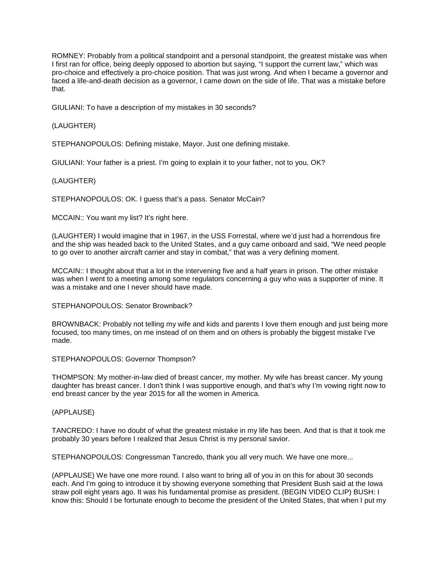ROMNEY: Probably from a political standpoint and a personal standpoint, the greatest mistake was when I first ran for office, being deeply opposed to abortion but saying, "I support the current law," which was pro-choice and effectively a pro-choice position. That was just wrong. And when I became a governor and faced a life-and-death decision as a governor, I came down on the side of life. That was a mistake before that.

GIULIANI: To have a description of my mistakes in 30 seconds?

# (LAUGHTER)

STEPHANOPOULOS: Defining mistake, Mayor. Just one defining mistake.

GIULIANI: Your father is a priest. I'm going to explain it to your father, not to you, OK?

# (LAUGHTER)

STEPHANOPOULOS: OK. I guess that's a pass. Senator McCain?

MCCAIN:: You want my list? It's right here.

(LAUGHTER) I would imagine that in 1967, in the USS Forrestal, where we'd just had a horrendous fire and the ship was headed back to the United States, and a guy came onboard and said, "We need people to go over to another aircraft carrier and stay in combat," that was a very defining moment.

MCCAIN:: I thought about that a lot in the intervening five and a half years in prison. The other mistake was when I went to a meeting among some regulators concerning a guy who was a supporter of mine. It was a mistake and one I never should have made.

STEPHANOPOULOS: Senator Brownback?

BROWNBACK: Probably not telling my wife and kids and parents I love them enough and just being more focused, too many times, on me instead of on them and on others is probably the biggest mistake I've made.

STEPHANOPOULOS: Governor Thompson?

THOMPSON: My mother-in-law died of breast cancer, my mother. My wife has breast cancer. My young daughter has breast cancer. I don't think I was supportive enough, and that's why I'm vowing right now to end breast cancer by the year 2015 for all the women in America.

### (APPLAUSE)

TANCREDO: I have no doubt of what the greatest mistake in my life has been. And that is that it took me probably 30 years before I realized that Jesus Christ is my personal savior.

STEPHANOPOULOS: Congressman Tancredo, thank you all very much. We have one more...

(APPLAUSE) We have one more round. I also want to bring all of you in on this for about 30 seconds each. And I'm going to introduce it by showing everyone something that President Bush said at the Iowa straw poll eight years ago. It was his fundamental promise as president. (BEGIN VIDEO CLIP) BUSH: I know this: Should I be fortunate enough to become the president of the United States, that when I put my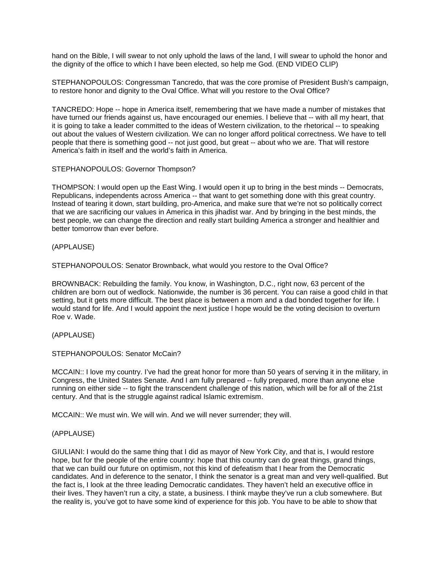hand on the Bible, I will swear to not only uphold the laws of the land, I will swear to uphold the honor and the dignity of the office to which I have been elected, so help me God. (END VIDEO CLIP)

STEPHANOPOULOS: Congressman Tancredo, that was the core promise of President Bush's campaign, to restore honor and dignity to the Oval Office. What will you restore to the Oval Office?

TANCREDO: Hope -- hope in America itself, remembering that we have made a number of mistakes that have turned our friends against us, have encouraged our enemies. I believe that -- with all my heart, that it is going to take a leader committed to the ideas of Western civilization, to the rhetorical -- to speaking out about the values of Western civilization. We can no longer afford political correctness. We have to tell people that there is something good -- not just good, but great -- about who we are. That will restore America's faith in itself and the world's faith in America.

### STEPHANOPOULOS: Governor Thompson?

THOMPSON: I would open up the East Wing. I would open it up to bring in the best minds -- Democrats, Republicans, independents across America -- that want to get something done with this great country. Instead of tearing it down, start building, pro-America, and make sure that we're not so politically correct that we are sacrificing our values in America in this jihadist war. And by bringing in the best minds, the best people, we can change the direction and really start building America a stronger and healthier and better tomorrow than ever before.

(APPLAUSE)

STEPHANOPOULOS: Senator Brownback, what would you restore to the Oval Office?

BROWNBACK: Rebuilding the family. You know, in Washington, D.C., right now, 63 percent of the children are born out of wedlock. Nationwide, the number is 36 percent. You can raise a good child in that setting, but it gets more difficult. The best place is between a mom and a dad bonded together for life. I would stand for life. And I would appoint the next justice I hope would be the voting decision to overturn Roe v. Wade.

(APPLAUSE)

STEPHANOPOULOS: Senator McCain?

MCCAIN:: I love my country. I've had the great honor for more than 50 years of serving it in the military, in Congress, the United States Senate. And I am fully prepared -- fully prepared, more than anyone else running on either side -- to fight the transcendent challenge of this nation, which will be for all of the 21st century. And that is the struggle against radical Islamic extremism.

MCCAIN:: We must win. We will win. And we will never surrender; they will.

### (APPLAUSE)

GIULIANI: I would do the same thing that I did as mayor of New York City, and that is, I would restore hope, but for the people of the entire country: hope that this country can do great things, grand things, that we can build our future on optimism, not this kind of defeatism that I hear from the Democratic candidates. And in deference to the senator, I think the senator is a great man and very well-qualified. But the fact is, I look at the three leading Democratic candidates. They haven't held an executive office in their lives. They haven't run a city, a state, a business. I think maybe they've run a club somewhere. But the reality is, you've got to have some kind of experience for this job. You have to be able to show that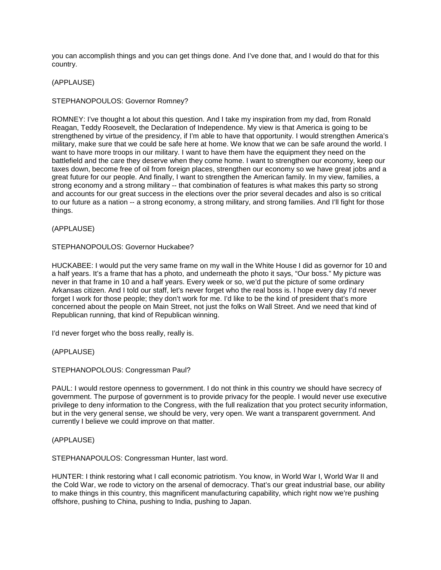you can accomplish things and you can get things done. And I've done that, and I would do that for this country.

## (APPLAUSE)

# STEPHANOPOULOS: Governor Romney?

ROMNEY: I've thought a lot about this question. And I take my inspiration from my dad, from Ronald Reagan, Teddy Roosevelt, the Declaration of Independence. My view is that America is going to be strengthened by virtue of the presidency, if I'm able to have that opportunity. I would strengthen America's military, make sure that we could be safe here at home. We know that we can be safe around the world. I want to have more troops in our military. I want to have them have the equipment they need on the battlefield and the care they deserve when they come home. I want to strengthen our economy, keep our taxes down, become free of oil from foreign places, strengthen our economy so we have great jobs and a great future for our people. And finally, I want to strengthen the American family. In my view, families, a strong economy and a strong military -- that combination of features is what makes this party so strong and accounts for our great success in the elections over the prior several decades and also is so critical to our future as a nation -- a strong economy, a strong military, and strong families. And I'll fight for those things.

(APPLAUSE)

### STEPHANOPOULOS: Governor Huckabee?

HUCKABEE: I would put the very same frame on my wall in the White House I did as governor for 10 and a half years. It's a frame that has a photo, and underneath the photo it says, "Our boss." My picture was never in that frame in 10 and a half years. Every week or so, we'd put the picture of some ordinary Arkansas citizen. And I told our staff, let's never forget who the real boss is. I hope every day I'd never forget I work for those people; they don't work for me. I'd like to be the kind of president that's more concerned about the people on Main Street, not just the folks on Wall Street. And we need that kind of Republican running, that kind of Republican winning.

I'd never forget who the boss really, really is.

(APPLAUSE)

### STEPHANOPOLOUS: Congressman Paul?

PAUL: I would restore openness to government. I do not think in this country we should have secrecy of government. The purpose of government is to provide privacy for the people. I would never use executive privilege to deny information to the Congress, with the full realization that you protect security information, but in the very general sense, we should be very, very open. We want a transparent government. And currently I believe we could improve on that matter.

### (APPLAUSE)

STEPHANAPOULOS: Congressman Hunter, last word.

HUNTER: I think restoring what I call economic patriotism. You know, in World War I, World War II and the Cold War, we rode to victory on the arsenal of democracy. That's our great industrial base, our ability to make things in this country, this magnificent manufacturing capability, which right now we're pushing offshore, pushing to China, pushing to India, pushing to Japan.